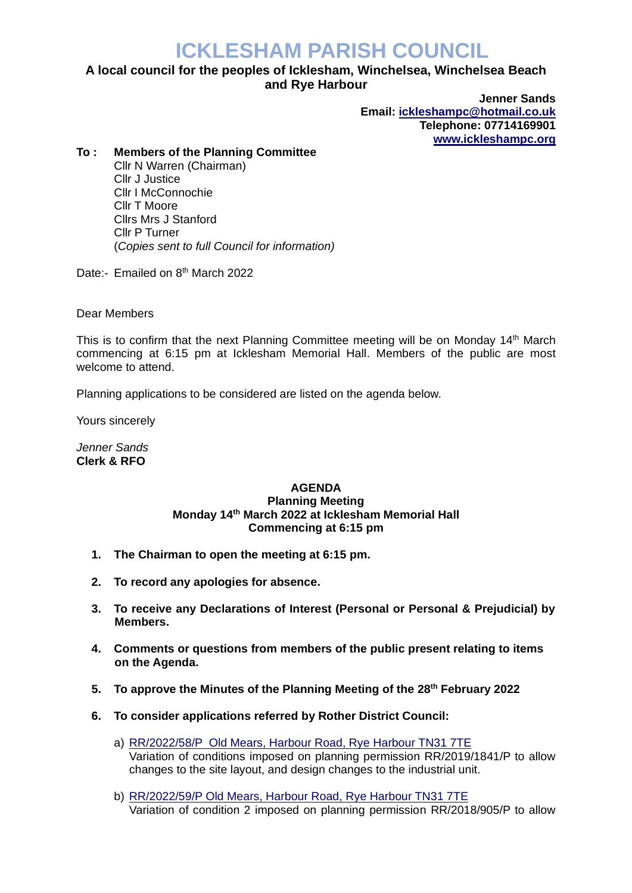## **ICKLESHAM PARISH COUNCIL**

## **A local council for the peoples of Icklesham, Winchelsea, Winchelsea Beach and Rye Harbour**

**Jenner Sands Email: [ickleshampc@hotmail.co.uk](mailto:ickleshampc@hotmail.co.uk) Telephone: 07714169901 [www.ickleshampc.org](http://www.ickleshampc.org/)**

## **To : Members of the Planning Committee**

Cllr N Warren (Chairman) Cllr J Justice Cllr I McConnochie Cllr T Moore Cllrs Mrs J Stanford Cllr P Turner (*Copies sent to full Council for information)*

Date:- Emailed on 8<sup>th</sup> March 2022

Dear Members

This is to confirm that the next Planning Committee meeting will be on Monday 14<sup>th</sup> March commencing at 6:15 pm at Icklesham Memorial Hall. Members of the public are most welcome to attend.

Planning applications to be considered are listed on the agenda below.

Yours sincerely

*Jenner Sands* **Clerk & RFO**

## **AGENDA Planning Meeting Monday 14th March 2022 at Icklesham Memorial Hall Commencing at 6:15 pm**

- **1. The Chairman to open the meeting at 6:15 pm.**
- **2. To record any apologies for absence.**
- **3. To receive any Declarations of Interest (Personal or Personal & Prejudicial) by Members.**
- **4. Comments or questions from members of the public present relating to items on the Agenda.**
- **5. To approve the Minutes of the Planning Meeting of the 28th February 2022**
- **6. To consider applications referred by Rother District Council:**
	- a) RR/2022/58/P [Old Mears, Harbour Road, Rye Harbour](http://planweb01.rother.gov.uk/OcellaWeb/planningDetails?reference=RR/2022/58/P) TN31 7TE Variation of conditions imposed on planning permission RR/2019/1841/P to allow changes to the site layout, and design changes to the industrial unit.
	- b) RR/2022/59/P [Old Mears, Harbour Road, Rye Harbour](http://planweb01.rother.gov.uk/OcellaWeb/planningDetails?reference=RR/2022/59/P) TN31 7TE Variation of condition 2 imposed on planning permission RR/2018/905/P to allow